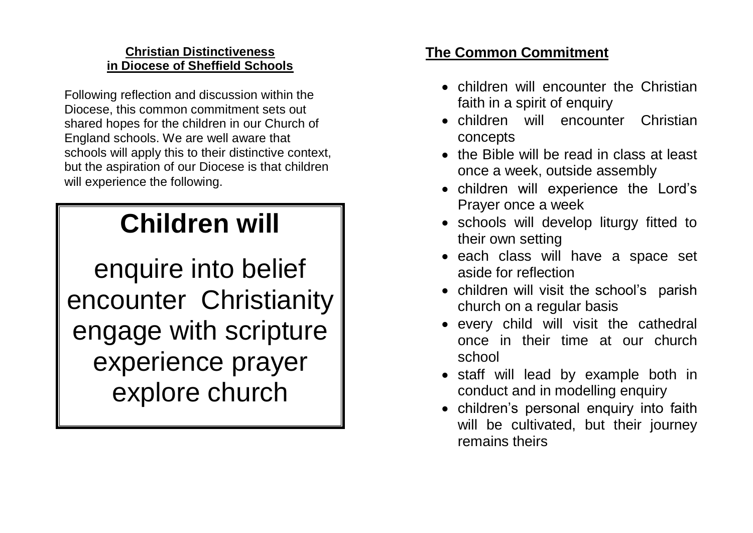## **Christian Distinctiveness in Diocese of Sheffield Schools**

Following reflection and discussion within the Diocese, this common commitment sets out shared hopes for the children in our Church of England schools. We are well aware that schools will apply this to their distinctive context, but the aspiration of our Diocese is that children will experience the following.

## **Children will**

enquire into belief encounter Christianity engage with scripture experience prayer explore church

## **The Common Commitment**

- children will encounter the Christian faith in a spirit of enquiry
- children will encounter Christian concepts
- the Bible will be read in class at least once a week, outside assembly
- children will experience the Lord's Prayer once a week
- schools will develop liturgy fitted to their own setting
- each class will have a space set aside for reflection
- children will visit the school's parish church on a regular basis
- every child will visit the cathedral once in their time at our church school
- staff will lead by example both in conduct and in modelling enquiry
- children's personal enquiry into faith will be cultivated, but their journey remains theirs